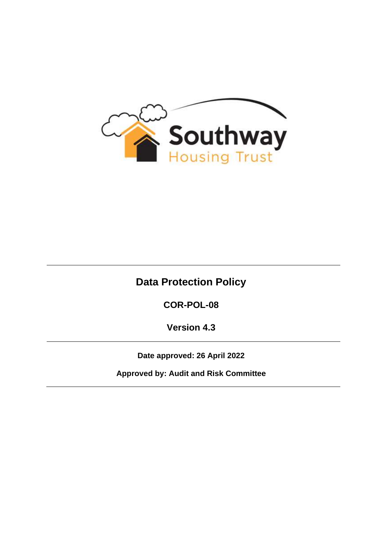

# **Data Protection Policy**

**COR-POL-08**

**Version 4.3**

**Date approved: 26 April 2022**

**Approved by: Audit and Risk Committee**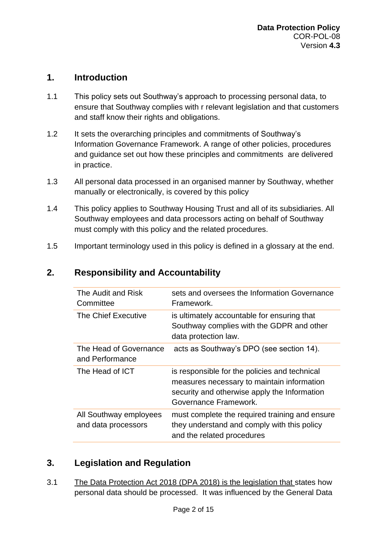#### **1. Introduction**

- 1.1 This policy sets out Southway's approach to processing personal data, to ensure that Southway complies with r relevant legislation and that customers and staff know their rights and obligations.
- 1.2 It sets the overarching principles and commitments of Southway's Information Governance Framework. A range of other policies, procedures and guidance set out how these principles and commitments are delivered in practice.
- 1.3 All personal data processed in an organised manner by Southway, whether manually or electronically, is covered by this policy
- 1.4 This policy applies to Southway Housing Trust and all of its subsidiaries. All Southway employees and data processors acting on behalf of Southway must comply with this policy and the related procedures.
- 1.5 Important terminology used in this policy is defined in a glossary at the end.

| The Audit and Risk<br>Committee               | sets and oversees the Information Governance<br>Framework.                                                                                                           |
|-----------------------------------------------|----------------------------------------------------------------------------------------------------------------------------------------------------------------------|
| The Chief Executive                           | is ultimately accountable for ensuring that<br>Southway complies with the GDPR and other<br>data protection law.                                                     |
| The Head of Governance<br>and Performance     | acts as Southway's DPO (see section 14).                                                                                                                             |
| The Head of ICT                               | is responsible for the policies and technical<br>measures necessary to maintain information<br>security and otherwise apply the Information<br>Governance Framework. |
| All Southway employees<br>and data processors | must complete the required training and ensure<br>they understand and comply with this policy<br>and the related procedures                                          |

### **2. Responsibility and Accountability**

## **3. Legislation and Regulation**

3.1 The Data Protection Act 2018 (DPA 2018) is the legislation that states how personal data should be processed. It was influenced by the General Data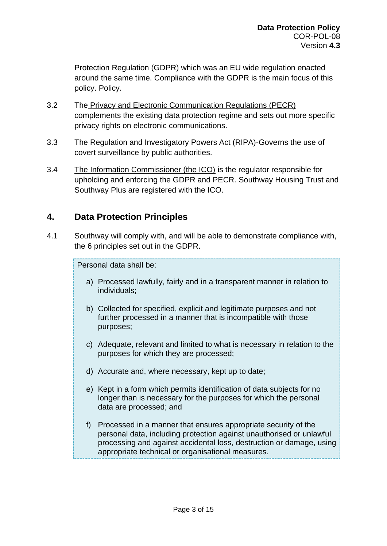Protection Regulation (GDPR) which was an EU wide regulation enacted around the same time. Compliance with the GDPR is the main focus of this policy. Policy.

- 3.2 The Privacy and Electronic Communication Regulations (PECR) complements the existing data protection regime and sets out more specific privacy rights on electronic communications.
- 3.3 The Regulation and Investigatory Powers Act (RIPA)-Governs the use of covert surveillance by public authorities.
- 3.4 The Information Commissioner (the ICO) is the regulator responsible for upholding and enforcing the GDPR and PECR. Southway Housing Trust and Southway Plus are registered with the ICO.

### **4. Data Protection Principles**

4.1 Southway will comply with, and will be able to demonstrate compliance with, the 6 principles set out in the GDPR.

Personal data shall be:

- a) Processed lawfully, fairly and in a transparent manner in relation to individuals;
- b) Collected for specified, explicit and legitimate purposes and not further processed in a manner that is incompatible with those purposes;
- c) Adequate, relevant and limited to what is necessary in relation to the purposes for which they are processed;
- d) Accurate and, where necessary, kept up to date;
- e) Kept in a form which permits identification of data subjects for no longer than is necessary for the purposes for which the personal data are processed; and
- f) Processed in a manner that ensures appropriate security of the personal data, including protection against unauthorised or unlawful processing and against accidental loss, destruction or damage, using appropriate technical or organisational measures.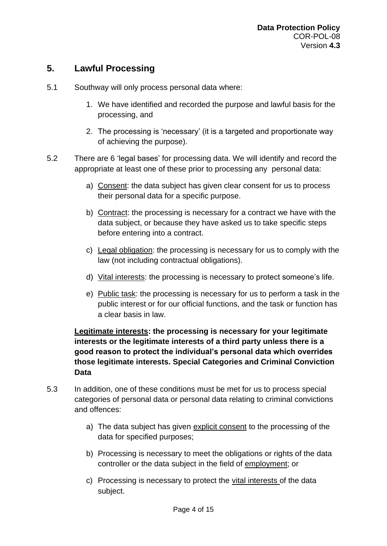### **5. Lawful Processing**

- 5.1 Southway will only process personal data where:
	- 1. We have identified and recorded the purpose and lawful basis for the processing, and
	- 2. The processing is 'necessary' (it is a targeted and proportionate way of achieving the purpose).
- 5.2 There are 6 'legal bases' for processing data. We will identify and record the appropriate at least one of these prior to processing any personal data:
	- a) Consent: the data subject has given clear consent for us to process their personal data for a specific purpose.
	- b) Contract: the processing is necessary for a contract we have with the data subject, or because they have asked us to take specific steps before entering into a contract.
	- c) Legal obligation: the processing is necessary for us to comply with the law (not including contractual obligations).
	- d) Vital interests: the processing is necessary to protect someone's life.
	- e) Public task: the processing is necessary for us to perform a task in the public interest or for our official functions, and the task or function has a clear basis in law.

#### **Legitimate interests: the processing is necessary for your legitimate interests or the legitimate interests of a third party unless there is a good reason to protect the individual's personal data which overrides those legitimate interests. Special Categories and Criminal Conviction Data**

- 5.3 In addition, one of these conditions must be met for us to process special categories of personal data or personal data relating to criminal convictions and offences:
	- a) The data subject has given explicit consent to the processing of the data for specified purposes;
	- b) Processing is necessary to meet the obligations or rights of the data controller or the data subject in the field of employment; or
	- c) Processing is necessary to protect the vital interests of the data subject.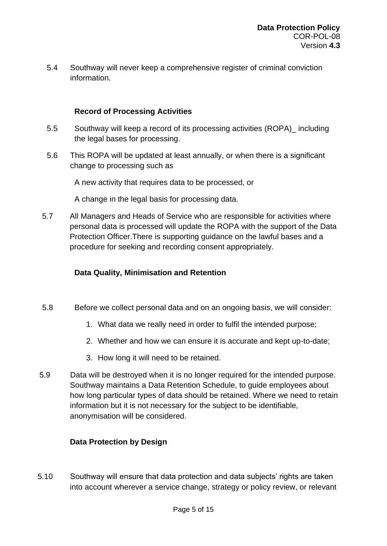5.4 Southway will never keep a comprehensive register of criminal conviction information.

#### **Record of Processing Activities**

- 5.5 Southway will keep a record of its processing activities (ROPA)\_ including the legal bases for processing.
- 5.6 This ROPA will be updated at least annually, or when there is a significant change to processing such as

A new activity that requires data to be processed, or

A change in the legal basis for processing data.

5.7 All Managers and Heads of Service who are responsible for activities where personal data is processed will update the ROPA with the support of the Data Protection Officer.There is supporting guidance on the lawful bases and a procedure for seeking and recording consent appropriately.

#### **Data Quality, Minimisation and Retention**

- 5.8 Before we collect personal data and on an ongoing basis, we will consider:
	- 1. What data we really need in order to fulfil the intended purpose;
	- 2. Whether and how we can ensure it is accurate and kept up-to-date;
	- 3. How long it will need to be retained.
- 5.9 Data will be destroyed when it is no longer required for the intended purpose. Southway maintains a Data Retention Schedule, to guide employees about how long particular types of data should be retained. Where we need to retain information but it is not necessary for the subject to be identifiable, anonymisation will be considered.

#### **Data Protection by Design**

5.10 Southway will ensure that data protection and data subjects' rights are taken into account wherever a service change, strategy or policy review, or relevant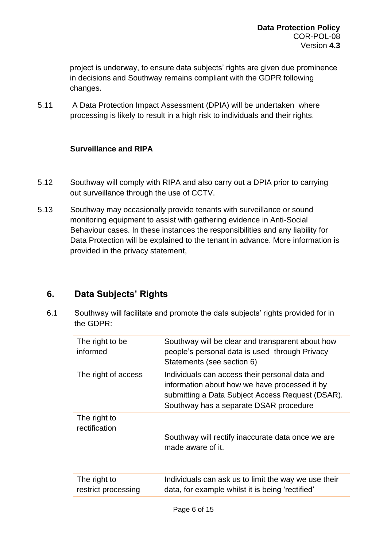project is underway, to ensure data subjects' rights are given due prominence in decisions and Southway remains compliant with the GDPR following changes.

5.11 A Data Protection Impact Assessment (DPIA) will be undertaken where processing is likely to result in a high risk to individuals and their rights.

#### **Surveillance and RIPA**

- 5.12 Southway will comply with RIPA and also carry out a DPIA prior to carrying out surveillance through the use of CCTV.
- 5.13 Southway may occasionally provide tenants with surveillance or sound monitoring equipment to assist with gathering evidence in Anti-Social Behaviour cases. In these instances the responsibilities and any liability for Data Protection will be explained to the tenant in advance. More information is provided in the privacy statement,

### **6. Data Subjects' Rights**

6.1 Southway will facilitate and promote the data subjects' rights provided for in the GDPR:

| The right to be<br>informed         | Southway will be clear and transparent about how<br>people's personal data is used through Privacy<br>Statements (see section 6)                                                              |
|-------------------------------------|-----------------------------------------------------------------------------------------------------------------------------------------------------------------------------------------------|
| The right of access                 | Individuals can access their personal data and<br>information about how we have processed it by<br>submitting a Data Subject Access Request (DSAR).<br>Southway has a separate DSAR procedure |
| The right to<br>rectification       | Southway will rectify inaccurate data once we are<br>made aware of it.                                                                                                                        |
| The right to<br>restrict processing | Individuals can ask us to limit the way we use their<br>data, for example whilst it is being 'rectified'                                                                                      |
|                                     |                                                                                                                                                                                               |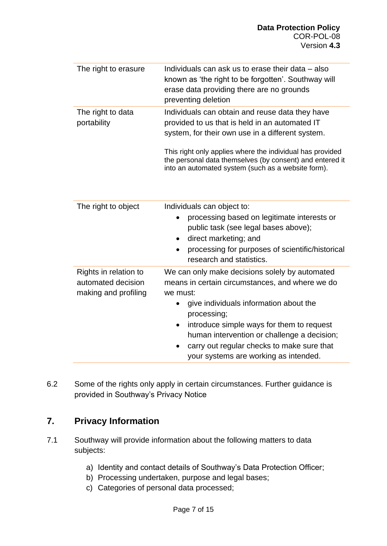| The right to erasure                                                | Individuals can ask us to erase their data – also<br>known as 'the right to be forgotten'. Southway will<br>erase data providing there are no grounds<br>preventing deletion                                                                                                                                                         |
|---------------------------------------------------------------------|--------------------------------------------------------------------------------------------------------------------------------------------------------------------------------------------------------------------------------------------------------------------------------------------------------------------------------------|
| The right to data<br>portability                                    | Individuals can obtain and reuse data they have<br>provided to us that is held in an automated IT<br>system, for their own use in a different system.<br>This right only applies where the individual has provided<br>the personal data themselves (by consent) and entered it<br>into an automated system (such as a website form). |
| The right to object                                                 | Individuals can object to:<br>processing based on legitimate interests or<br>$\bullet$<br>public task (see legal bases above);<br>direct marketing; and<br>٠<br>processing for purposes of scientific/historical<br>research and statistics.                                                                                         |
| Rights in relation to<br>automated decision<br>making and profiling | We can only make decisions solely by automated<br>means in certain circumstances, and where we do<br>we must:<br>give individuals information about the<br>processing;                                                                                                                                                               |

- introduce simple ways for them to request human intervention or challenge a decision;
- carry out regular checks to make sure that your systems are working as intended.
- 6.2 Some of the rights only apply in certain circumstances. Further guidance is provided in Southway's Privacy Notice

## **7. Privacy Information**

- 7.1 Southway will provide information about the following matters to data subjects:
	- a) Identity and contact details of Southway's Data Protection Officer;
	- b) Processing undertaken, purpose and legal bases;
	- c) Categories of personal data processed;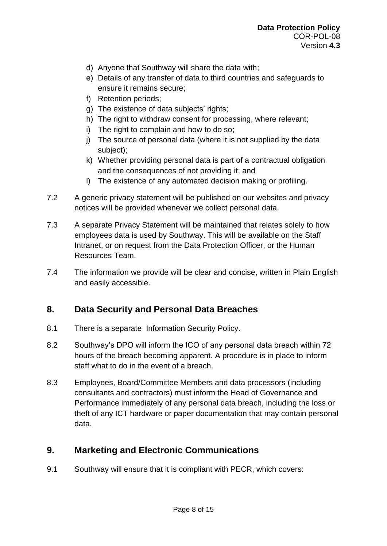- d) Anyone that Southway will share the data with;
- e) Details of any transfer of data to third countries and safeguards to ensure it remains secure;
- f) Retention periods;
- g) The existence of data subjects' rights;
- h) The right to withdraw consent for processing, where relevant;
- i) The right to complain and how to do so;
- j) The source of personal data (where it is not supplied by the data subject);
- k) Whether providing personal data is part of a contractual obligation and the consequences of not providing it; and
- l) The existence of any automated decision making or profiling.
- 7.2 A generic privacy statement will be published on our websites and privacy notices will be provided whenever we collect personal data.
- 7.3 A separate Privacy Statement will be maintained that relates solely to how employees data is used by Southway. This will be available on the Staff Intranet, or on request from the Data Protection Officer, or the Human Resources Team.
- 7.4 The information we provide will be clear and concise, written in Plain English and easily accessible.

## **8. Data Security and Personal Data Breaches**

- 8.1 There is a separate Information Security Policy.
- 8.2 Southway's DPO will inform the ICO of any personal data breach within 72 hours of the breach becoming apparent. A procedure is in place to inform staff what to do in the event of a breach.
- 8.3 Employees, Board/Committee Members and data processors (including consultants and contractors) must inform the Head of Governance and Performance immediately of any personal data breach, including the loss or theft of any ICT hardware or paper documentation that may contain personal data.

### **9. Marketing and Electronic Communications**

9.1 Southway will ensure that it is compliant with PECR, which covers: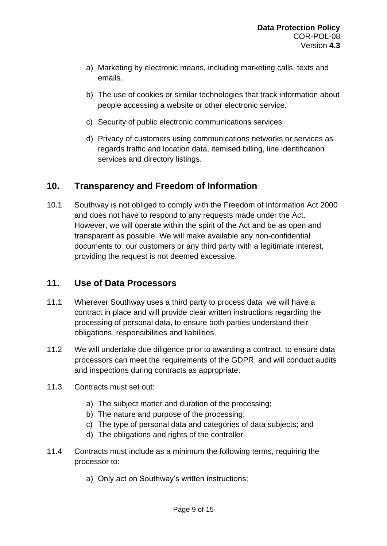- a) Marketing by electronic means, including marketing calls, texts and emails.
- b) The use of cookies or similar technologies that track information about people accessing a website or other electronic service.
- c) Security of public electronic communications services.
- d) Privacy of customers using communications networks or services as regards traffic and location data, itemised billing, line identification services and directory listings.

### **10. Transparency and Freedom of Information**

10.1 Southway is not obliged to comply with the Freedom of Information Act 2000 and does not have to respond to any requests made under the Act. However, we will operate within the spirit of the Act and be as open and transparent as possible. We will make available any non-confidential documents to our customers or any third party with a legitimate interest, providing the request is not deemed excessive.

### **11. Use of Data Processors**

- 11.1 Wherever Southway uses a third party to process data we will have a contract in place and will provide clear written instructions regarding the processing of personal data, to ensure both parties understand their obligations, responsibilities and liabilities.
- 11.2 We will undertake due diligence prior to awarding a contract, to ensure data processors can meet the requirements of the GDPR, and will conduct audits and inspections during contracts as appropriate.
- 11.3 Contracts must set out:
	- a) The subject matter and duration of the processing;
	- b) The nature and purpose of the processing;
	- c) The type of personal data and categories of data subjects; and
	- d) The obligations and rights of the controller.
- 11.4 Contracts must include as a minimum the following terms, requiring the processor to:
	- a) Only act on Southway's written instructions;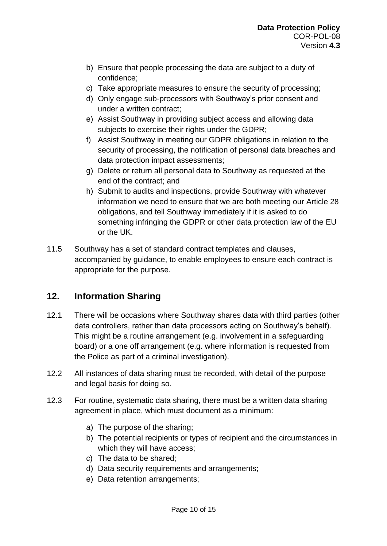- b) Ensure that people processing the data are subject to a duty of confidence;
- c) Take appropriate measures to ensure the security of processing;
- d) Only engage sub-processors with Southway's prior consent and under a written contract;
- e) Assist Southway in providing subject access and allowing data subjects to exercise their rights under the GDPR;
- f) Assist Southway in meeting our GDPR obligations in relation to the security of processing, the notification of personal data breaches and data protection impact assessments;
- g) Delete or return all personal data to Southway as requested at the end of the contract; and
- h) Submit to audits and inspections, provide Southway with whatever information we need to ensure that we are both meeting our Article 28 obligations, and tell Southway immediately if it is asked to do something infringing the GDPR or other data protection law of the EU or the UK.
- 11.5 Southway has a set of standard contract templates and clauses, accompanied by guidance, to enable employees to ensure each contract is appropriate for the purpose.

### **12. Information Sharing**

- 12.1 There will be occasions where Southway shares data with third parties (other data controllers, rather than data processors acting on Southway's behalf). This might be a routine arrangement (e.g. involvement in a safeguarding board) or a one off arrangement (e.g. where information is requested from the Police as part of a criminal investigation).
- 12.2 All instances of data sharing must be recorded, with detail of the purpose and legal basis for doing so.
- 12.3 For routine, systematic data sharing, there must be a written data sharing agreement in place, which must document as a minimum:
	- a) The purpose of the sharing;
	- b) The potential recipients or types of recipient and the circumstances in which they will have access;
	- c) The data to be shared;
	- d) Data security requirements and arrangements;
	- e) Data retention arrangements;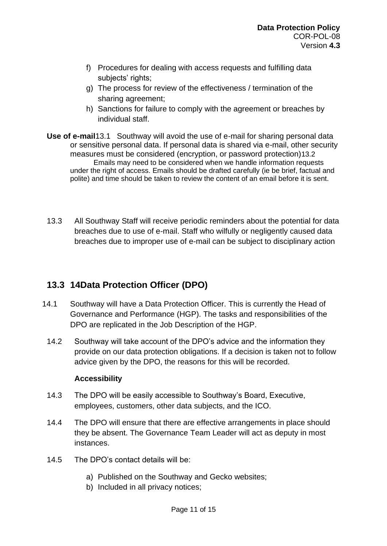- f) Procedures for dealing with access requests and fulfilling data subjects' rights;
- g) The process for review of the effectiveness / termination of the sharing agreement;
- h) Sanctions for failure to comply with the agreement or breaches by individual staff.
- **Use of e-mail**13.1 Southway will avoid the use of e-mail for sharing personal data or sensitive personal data. If personal data is shared via e-mail, other security measures must be considered (encryption, or password protection)13.2 Emails may need to be considered when we handle information requests under the right of access. Emails should be drafted carefully (ie be brief, factual and polite) and time should be taken to review the content of an email before it is sent.
- 13.3 All Southway Staff will receive periodic reminders about the potential for data breaches due to use of e-mail. Staff who wilfully or negligently caused data breaches due to improper use of e-mail can be subject to disciplinary action

## **13.3 14Data Protection Officer (DPO)**

- 14.1 Southway will have a Data Protection Officer. This is currently the Head of Governance and Performance (HGP). The tasks and responsibilities of the DPO are replicated in the Job Description of the HGP.
	- 14.2 Southway will take account of the DPO's advice and the information they provide on our data protection obligations. If a decision is taken not to follow advice given by the DPO, the reasons for this will be recorded.

#### **Accessibility**

- 14.3 The DPO will be easily accessible to Southway's Board, Executive, employees, customers, other data subjects, and the ICO.
- 14.4 The DPO will ensure that there are effective arrangements in place should they be absent. The Governance Team Leader will act as deputy in most instances.
- 14.5 The DPO's contact details will be:
	- a) Published on the Southway and Gecko websites;
	- b) Included in all privacy notices;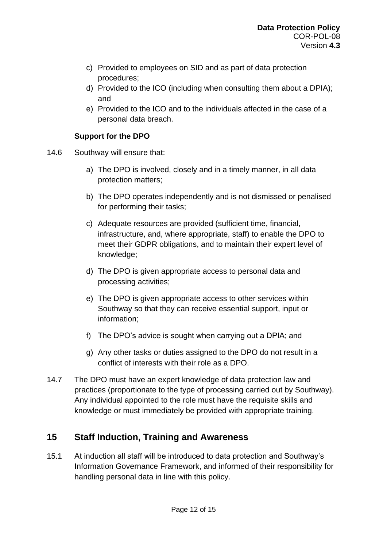- c) Provided to employees on SID and as part of data protection procedures;
- d) Provided to the ICO (including when consulting them about a DPIA); and
- e) Provided to the ICO and to the individuals affected in the case of a personal data breach.

#### **Support for the DPO**

- 14.6 Southway will ensure that:
	- a) The DPO is involved, closely and in a timely manner, in all data protection matters;
	- b) The DPO operates independently and is not dismissed or penalised for performing their tasks;
	- c) Adequate resources are provided (sufficient time, financial, infrastructure, and, where appropriate, staff) to enable the DPO to meet their GDPR obligations, and to maintain their expert level of knowledge;
	- d) The DPO is given appropriate access to personal data and processing activities;
	- e) The DPO is given appropriate access to other services within Southway so that they can receive essential support, input or information;
	- f) The DPO's advice is sought when carrying out a DPIA; and
	- g) Any other tasks or duties assigned to the DPO do not result in a conflict of interests with their role as a DPO.
- 14.7 The DPO must have an expert knowledge of data protection law and practices (proportionate to the type of processing carried out by Southway). Any individual appointed to the role must have the requisite skills and knowledge or must immediately be provided with appropriate training.

### **15 Staff Induction, Training and Awareness**

15.1 At induction all staff will be introduced to data protection and Southway's Information Governance Framework, and informed of their responsibility for handling personal data in line with this policy.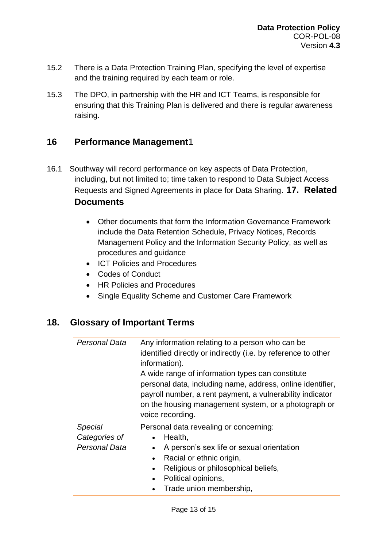- 15.2 There is a Data Protection Training Plan, specifying the level of expertise and the training required by each team or role.
- 15.3 The DPO, in partnership with the HR and ICT Teams, is responsible for ensuring that this Training Plan is delivered and there is regular awareness raising.

#### **16 Performance Management**1

- 16.1 Southway will record performance on key aspects of Data Protection, including, but not limited to; time taken to respond to Data Subject Access Requests and Signed Agreements in place for Data Sharing. **17. Related Documents**
	- Other documents that form the Information Governance Framework include the Data Retention Schedule, Privacy Notices, Records Management Policy and the Information Security Policy, as well as procedures and guidance
	- ICT Policies and Procedures
	- Codes of Conduct
	- HR Policies and Procedures
	- Single Equality Scheme and Customer Care Framework

### **18. Glossary of Important Terms**

| Personal Data                             | Any information relating to a person who can be<br>identified directly or indirectly (i.e. by reference to other<br>information).<br>A wide range of information types can constitute<br>personal data, including name, address, online identifier,<br>payroll number, a rent payment, a vulnerability indicator<br>on the housing management system, or a photograph or<br>voice recording. |
|-------------------------------------------|----------------------------------------------------------------------------------------------------------------------------------------------------------------------------------------------------------------------------------------------------------------------------------------------------------------------------------------------------------------------------------------------|
| Special<br>Categories of<br>Personal Data | Personal data revealing or concerning:<br>Health,<br>A person's sex life or sexual orientation<br>Racial or ethnic origin,<br>Religious or philosophical beliefs,<br>$\bullet$<br>Political opinions,<br>Trade union membership,                                                                                                                                                             |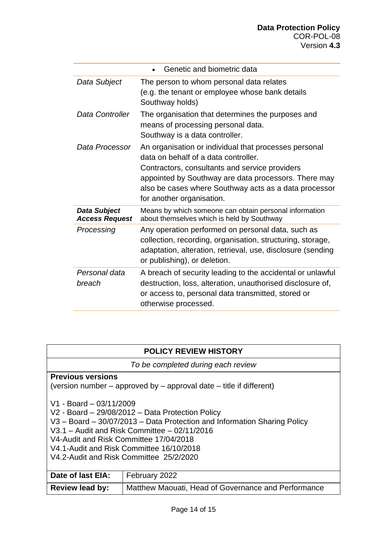|                                              | Genetic and biometric data                                                                                                                                                                                                                                                                    |
|----------------------------------------------|-----------------------------------------------------------------------------------------------------------------------------------------------------------------------------------------------------------------------------------------------------------------------------------------------|
| Data Subject                                 | The person to whom personal data relates<br>(e.g. the tenant or employee whose bank details<br>Southway holds)                                                                                                                                                                                |
| Data Controller                              | The organisation that determines the purposes and<br>means of processing personal data.<br>Southway is a data controller.                                                                                                                                                                     |
| Data Processor                               | An organisation or individual that processes personal<br>data on behalf of a data controller.<br>Contractors, consultants and service providers<br>appointed by Southway are data processors. There may<br>also be cases where Southway acts as a data processor<br>for another organisation. |
| <b>Data Subject</b><br><b>Access Request</b> | Means by which someone can obtain personal information<br>about themselves which is held by Southway                                                                                                                                                                                          |
| Processing                                   | Any operation performed on personal data, such as<br>collection, recording, organisation, structuring, storage,<br>adaptation, alteration, retrieval, use, disclosure (sending<br>or publishing), or deletion.                                                                                |
| Personal data<br>breach                      | A breach of security leading to the accidental or unlawful<br>destruction, loss, alteration, unauthorised disclosure of,<br>or access to, personal data transmitted, stored or<br>otherwise processed.                                                                                        |

|  |  | <b>POLICY REVIEW HISTORY</b> |
|--|--|------------------------------|
|--|--|------------------------------|

*To be completed during each review*

#### **Previous versions**

(version number – approved by – approval date – title if different)

V1 - Board – 03/11/2009

- V2 Board 29/08/2012 Data Protection Policy
- V3 Board 30/07/2013 Data Protection and Information Sharing Policy
- V3.1 Audit and Risk Committee 02/11/2016
- V4-Audit and Risk Committee 17/04/2018

V4.1-Audit and Risk Committee 16/10/2018

V4.2-Audit and Risk Committee 25/2/2020

| Date of last EIA: | February 2022                                       |
|-------------------|-----------------------------------------------------|
| Review lead by:   | Matthew Maouati, Head of Governance and Performance |